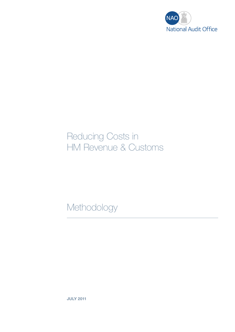

# Reducing Costs in HM Revenue & Customs

Methodology

JULY 2011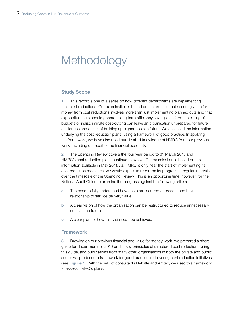# **Methodology**

### Study Scope

1 This report is one of a series on how different departments are implementing their cost reductions. Our examination is based on the premise that securing value for money from cost reductions involves more than just implementing planned cuts and that expenditure cuts should generate long term efficiency savings. Uniform top slicing of budgets or indiscriminate cost-cutting can leave an organisation unprepared for future challenges and at risk of building up higher costs in future. We assessed the information underlying the cost reduction plans, using a framework of good practice. In applying the framework, we have also used our detailed knowledge of HMRC from our previous work, including our audit of the financial accounts.

2 The Spending Review covers the four year period to 31 March 2015 and HMRC's cost reduction plans continue to evolve. Our examination is based on the information available in May 2011. As HMRC is only near the start of implementing its cost reduction measures, we would expect to report on its progress at regular intervals over the timescale of the Spending Review. This is an opportune time, however, for the National Audit Office to examine the progress against the following criteria:

- a The need to fully understand how costs are incurred at present and their relationship to service delivery value.
- b A clear vision of how the organisation can be restructured to reduce unnecessary costs in the future.
- c A clear plan for how this vision can be achieved.

# Framework

3 Drawing on our previous financial and value for money work, we prepared a short guide for departments in 2010 on the key principles of structured cost reduction. Using this guide, and publications from many other organisations in both the private and public sector we produced a framework for good practice in delivering cost reduction initiatives (see Figure 1). With the help of consultants Deloitte and Amtec, we used this framework to assess HMRC's plans.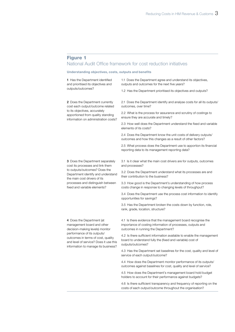# Figure 1

# National Audit Office framework for cost reduction initiatives

#### Understanding objectives, costs, outputs and benefits

1 Has the Department identified and prioritised its objectives and outputs/outcomes?

1.1 Does the Department agree and understand its objectives, outputs and outcomes for the next five years?

1.2 Has the Department prioritised its objectives and outputs?

2 Does the Department currently cost each output/outcome related to its objectives, accurately apportioned from quality standing information on administration costs?

cost its processes and link them to outputs/outcomes? Does the Department identify and understand

processes and distinguish between fixed and variable elements?

the main cost drivers of its

2.1 Does the Department identify and analyse costs for all its outputs/ outcomes, over time?

2.2 What is the process for assurance and scrutiny of costings to ensure they are accurate and timely?

2.3 How well does the Department understand the fixed and variable elements of its costs?

2.4 Does the Department know the unit costs of delivery outputs/ outcomes and how this changes as a result of other factors?

2.5 What process does the Department use to apportion its financial reporting data to its management reporting data?

3 Does the Department separately 3.1 Is it clear what the main cost drivers are for outputs, outcomes and processes?

> 3.2 Does the Department understand what its processes are and their contribution to the business?

> 3.3 How good is the Department's understanding of how process costs change in response to changing levels of throughput?

3.4 Does the Department use the process cost information to identify opportunities for savings?

3.5 Has the Department broken the costs down by function, role, rank, grade, location, structure?

4 Does the Department (at management board and other decision-making levels) monitor performance of its outputs/ outcomes in terms of cost, quality and level of service? Does it use this information to manage its business? 4.1 Is there evidence that the management board recognise the importance of costing information of processes, outputs and outcomes in running the Department?

4.2 Is there sufficient information available to enable the management board to understand fully the (fixed and variable) cost of outputs/outcomes?

4.3 Has the Department set baselines for the cost, quality and level of service of each output/outcome?

4.4 How does the Department monitor performance of its outputs/ outcomes against baselines for cost, quality and level of service?

4.5 How does the Department's management board hold budget holders to account for their performance against budgets?

4.6 Is there sufficient transparency and frequency of reporting on the costs of each output/outcome throughout the organisation?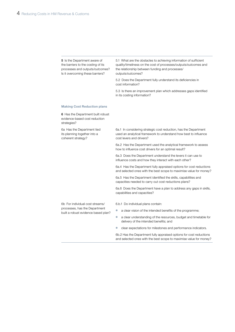| 5 Is the Department aware of<br>the barriers to the costing of its<br>processes and outputs/outcomes?<br>Is it overcoming these barriers? | 5.1 What are the obstacles to achieving information of sufficient<br>quality/timeliness on the cost of processes/outputs/outcomes and<br>the relationship between funding and processes/<br>outputs/outcomes? |
|-------------------------------------------------------------------------------------------------------------------------------------------|---------------------------------------------------------------------------------------------------------------------------------------------------------------------------------------------------------------|
|                                                                                                                                           | 5.2 Does the Department fully understand its deficiencies in<br>cost information?                                                                                                                             |
|                                                                                                                                           | 5.3 Is there an improvement plan which addresses gaps identified<br>in its costing information?                                                                                                               |
| <b>Making Cost Reduction plans</b>                                                                                                        |                                                                                                                                                                                                               |
| <b>6</b> Has the Department built robust<br>evidence-based cost reduction<br>strategies?                                                  |                                                                                                                                                                                                               |
| 6a Has the Department tied<br>its planning together into a<br>coherent strategy?                                                          | 6a.1 In considering strategic cost reduction, has the Department<br>used an analytical framework to understand how best to influence<br>cost levers and drivers?                                              |
|                                                                                                                                           | 6a.2 Has the Department used the analytical framework to assess<br>how to influence cost drivers for an optimal result?                                                                                       |
|                                                                                                                                           | 6a.3 Does the Department understand the levers it can use to<br>influence costs and how they interact with each other?                                                                                        |
|                                                                                                                                           | 6a.4 Has the Department fully appraised options for cost reductions<br>and selected ones with the best scope to maximise value for money?                                                                     |
|                                                                                                                                           | 6a.5 Has the Department identified the skills, capabilities and<br>capacities needed to carry out cost reductions plans?                                                                                      |
|                                                                                                                                           | 6a.6 Does the Department have a plan to address any gaps in skills,<br>capabilities and capacities?                                                                                                           |
| 6b For individual cost streams/<br>processes, has the Department<br>built a robust evidence based plan?                                   | 6.b.1 Do individual plans contain:                                                                                                                                                                            |
|                                                                                                                                           | a clear vision of the intended benefits of the programme;<br>$\bullet$                                                                                                                                        |
|                                                                                                                                           | a clear understanding of the resources, budget and timetable for<br>$\bigcirc$<br>delivery of the intended benefits; and                                                                                      |
|                                                                                                                                           | clear expectations for milestones and performance indicators.<br>0                                                                                                                                            |
|                                                                                                                                           | 6b.2 Has the Department fully appraised options for cost reductions<br>and selected ones with the best scope to maximise value for money?                                                                     |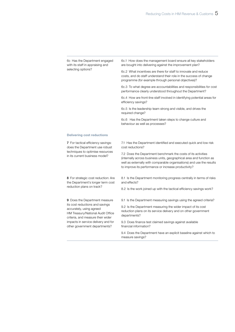6c Has the Department engaged with its staff in appraising and selecting options? 6c.1 How does the management board ensure all key stakeholders are bought into delivering against the improvement plan? 6c.2 What incentives are there for staff to innovate and reduce costs, and do staff understand their role in the success of change programme (for example through personal objectives)? 6c.3 To what degree are accountabilities and responsibilities for cost performance clearly understood throughout the Department? 6c.4 How are front-line staff involved in identifying potential areas for efficiency savings? 6c.5 Is the leadership team strong and visible, and drives the required change? 6c.6 Has the Department taken steps to change culture and behaviour as well as processes? Delivering cost reductions 7 For tactical efficiency savings: does the Department use robust techniques to optimise resources in its current business model? 7.1 Has the Department identified and executed quick and low risk cost reductions? 7.2 Does the Department benchmark the costs of its activities (internally across business units, geographical area and function as well as externally with comparable organisations) and use the results to improve its performance or increase productivity? 8 For strategic cost reduction: Are the Department's longer term cost reduction plans on track? 8.1 Is the Department monitoring progress centrally in terms of risks and effects? 8.2 Is the work joined up with the tactical efficiency savings work? 9 Does the Department measure its cost reductions and savings accurately, using agreed HM Treasury/National Audit Office criteria, and measure their wider impacts in service delivery and for other government departments? 9.1 Is the Department measuring savings using the agreed criteria? 9.2 Is the Department measuring the wider impact of its cost reduction plans on its service delivery and on other government departments? 9.3 Does finance test claimed savings against available financial information? 9.4 Does the Department have an explicit baseline against which to measure savings?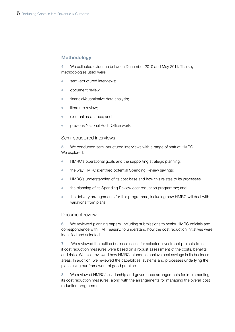# Methodology

4 We collected evidence between December 2010 and May 2011. The key methodologies used were:

- semi-structured interviews:
- document review:
- $\bullet$  financial/quantitative data analysis;
- **•** literature review:
- external assistance: and
- previous National Audit Office work.

# Semi-structured interviews

5 We conducted semi-structured interviews with a range of staff at HMRC. We explored:

- <sup>¬</sup> HMRC's operational goals and the supporting strategic planning;
- the way HMRC identified potential Spending Review savings;
- <sup>¬</sup> HMRC's understanding of its cost base and how this relates to its processes;
- the planning of its Spending Review cost reduction programme; and
- the delivery arrangements for this programme, including how HMRC will deal with variations from plans.

# Document review

6 We reviewed planning papers, including submissions to senior HMRC officials and correspondence with HM Treasury, to understand how the cost reduction initiatives were identified and selected.

7 We reviewed the outline business cases for selected investment projects to test if cost reduction measures were based on a robust assessment of the costs, benefits and risks. We also reviewed how HMRC intends to achieve cost savings in its business areas. In addition, we reviewed the capabilities, systems and processes underlying the plans using our framework of good practice.

8 We reviewed HMRC's leadership and governance arrangements for implementing its cost reduction measures, along with the arrangements for managing the overall cost reduction programme.